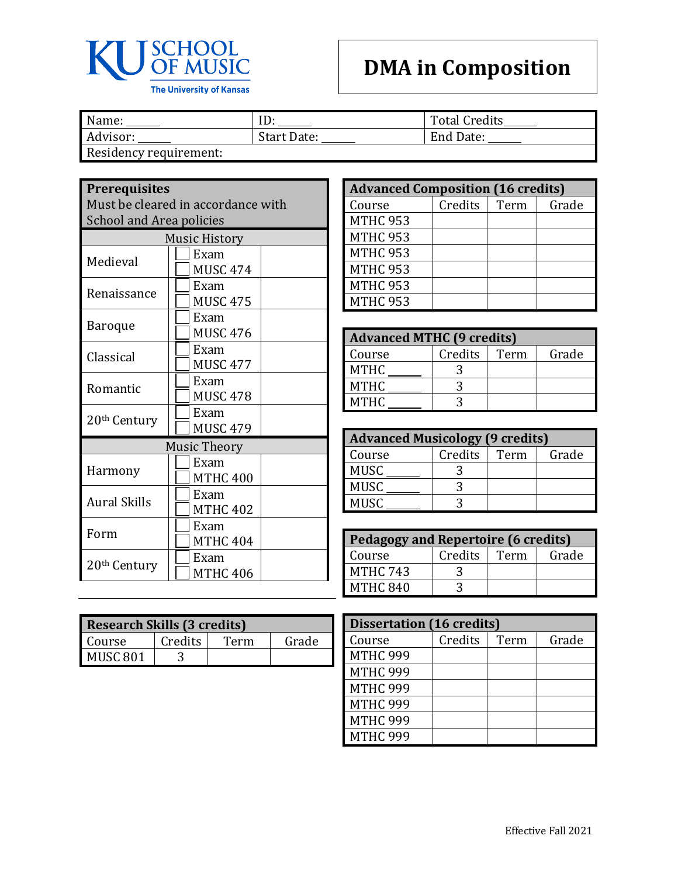

## **DMA in Composition**

| Name:                  | ID:         | <b>Total Credits</b> |
|------------------------|-------------|----------------------|
| Advisor:               | Start Date: | End Date:            |
| Residency requirement: |             |                      |

**Prerequisites**

| Must be cleared in accordance with<br><b>School and Area policies</b> |                         |  |  |
|-----------------------------------------------------------------------|-------------------------|--|--|
|                                                                       | <b>Music History</b>    |  |  |
| Medieval                                                              | Exam<br><b>MUSC 474</b> |  |  |
| Renaissance                                                           | Exam<br><b>MUSC 475</b> |  |  |
| Baroque                                                               | Exam<br><b>MUSC 476</b> |  |  |
| Classical                                                             | Exam<br><b>MUSC 477</b> |  |  |
| Romantic                                                              | Exam<br><b>MUSC 478</b> |  |  |
| 20 <sup>th</sup> Century                                              | Exam<br><b>MUSC 479</b> |  |  |
|                                                                       | <b>Music Theory</b>     |  |  |
| Harmony                                                               | Exam<br><b>MTHC 400</b> |  |  |
| <b>Aural Skills</b>                                                   | Exam<br><b>MTHC 402</b> |  |  |
| Form                                                                  | Exam<br><b>MTHC 404</b> |  |  |
| 20 <sup>th</sup> Century                                              | Exam<br>MTHC 406        |  |  |

| <b>Advanced Composition (16 credits)</b> |         |      |       |
|------------------------------------------|---------|------|-------|
| Course                                   | Credits | Term | Grade |
| <b>MTHC 953</b>                          |         |      |       |
| <b>MTHC 953</b>                          |         |      |       |
| <b>MTHC 953</b>                          |         |      |       |
| <b>MTHC 953</b>                          |         |      |       |
| <b>MTHC 953</b>                          |         |      |       |
| <b>MTHC 953</b>                          |         |      |       |

| <b>Advanced MTHC (9 credits)</b> |         |      |       |
|----------------------------------|---------|------|-------|
| Course                           | Credits | Term | Grade |
| <b>MTHC</b>                      |         |      |       |
| <b>MTHC</b>                      |         |      |       |
| <b>MTHC</b>                      |         |      |       |

| <b>Advanced Musicology (9 credits)</b> |         |      |       |
|----------------------------------------|---------|------|-------|
| Course                                 | Credits | Term | Grade |
| <b>MUSC</b>                            |         |      |       |
| <b>MUSC</b>                            |         |      |       |
| MUSC                                   |         |      |       |

| <b>Pedagogy and Repertoire (6 credits)</b> |         |      |       |
|--------------------------------------------|---------|------|-------|
| Course                                     | Credits | Term | Grade |
| <b>MTHC 743</b>                            | ₹       |      |       |
| MTHC 840                                   |         |      |       |

| <b>Dissertation (16 credits)</b> |         |      |       |
|----------------------------------|---------|------|-------|
| Course                           | Credits | Term | Grade |
| <b>MTHC 999</b>                  |         |      |       |
| <b>MTHC 999</b>                  |         |      |       |
| <b>MTHC 999</b>                  |         |      |       |
| <b>MTHC 999</b>                  |         |      |       |
| <b>MTHC 999</b>                  |         |      |       |
| <b>MTHC 999</b>                  |         |      |       |

| <b>Research Skills (3 credits)</b> |  |  |  |
|------------------------------------|--|--|--|
| Credits<br>Course<br>Grade<br>Term |  |  |  |
| <b>MUSC 801</b>                    |  |  |  |